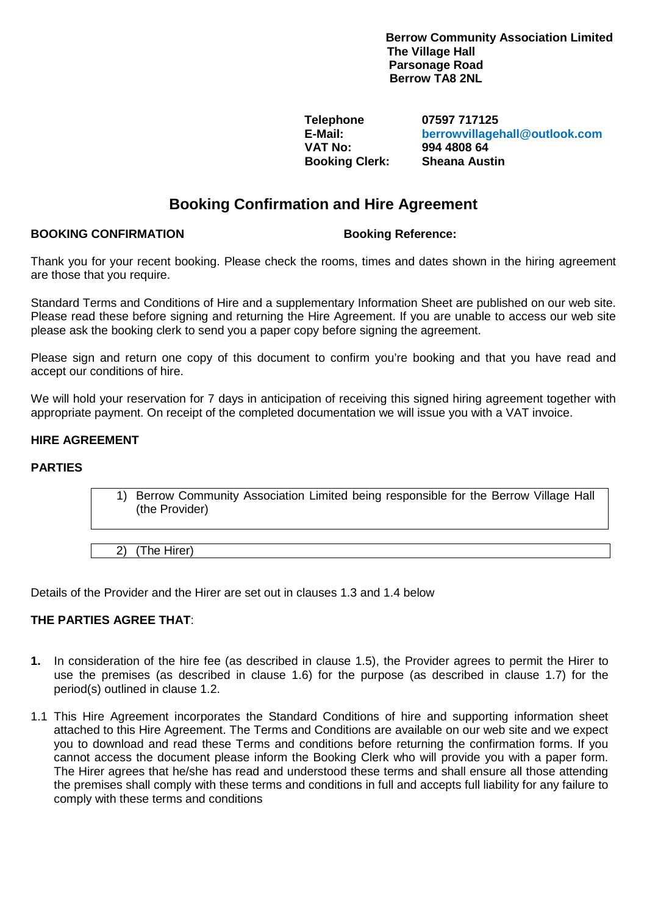**Berrow Community Association Limited The Village Hall Parsonage Road Berrow TA8 2NL**

**Booking Clerk:** 

**Telephone 07597 717125 E-Mail: berrowvillagehall@outlook.com VAT No: 994 4808 64**

# **Booking Confirmation and Hire Agreement**

# **BOOKING CONFIRMATION Booking Reference:**

Thank you for your recent booking. Please check the rooms, times and dates shown in the hiring agreement are those that you require.

Standard Terms and Conditions of Hire and a supplementary Information Sheet are published on our web site. Please read these before signing and returning the Hire Agreement. If you are unable to access our web site please ask the booking clerk to send you a paper copy before signing the agreement.

Please sign and return one copy of this document to confirm you're booking and that you have read and accept our conditions of hire.

We will hold your reservation for 7 days in anticipation of receiving this signed hiring agreement together with appropriate payment. On receipt of the completed documentation we will issue you with a VAT invoice.

# **HIRE AGREEMENT**

## **PARTIES**

1) Berrow Community Association Limited being responsible for the Berrow Village Hall (the Provider)

2) (The Hirer)

Details of the Provider and the Hirer are set out in clauses 1.3 and 1.4 below

## **THE PARTIES AGREE THAT**:

- **1.** In consideration of the hire fee (as described in clause 1.5), the Provider agrees to permit the Hirer to use the premises (as described in clause 1.6) for the purpose (as described in clause 1.7) for the period(s) outlined in clause 1.2.
- 1.1 This Hire Agreement incorporates the Standard Conditions of hire and supporting information sheet attached to this Hire Agreement. The Terms and Conditions are available on our web site and we expect you to download and read these Terms and conditions before returning the confirmation forms. If you cannot access the document please inform the Booking Clerk who will provide you with a paper form. The Hirer agrees that he/she has read and understood these terms and shall ensure all those attending the premises shall comply with these terms and conditions in full and accepts full liability for any failure to comply with these terms and conditions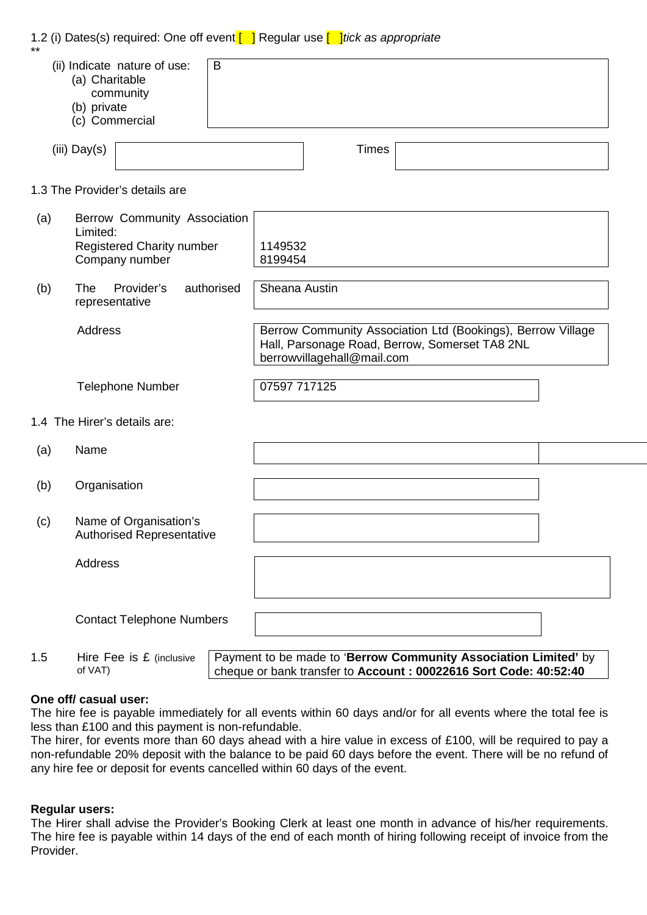|     |                                                                                         |                                                             |            | 1.2 (i) Dates(s) required: One off event $\begin{bmatrix} \quad \end{bmatrix}$ Regular use $\begin{bmatrix} \quad \end{bmatrix}$ tick as appropriate |  |  |
|-----|-----------------------------------------------------------------------------------------|-------------------------------------------------------------|------------|------------------------------------------------------------------------------------------------------------------------------------------------------|--|--|
|     | (a) Charitable<br>(b) private                                                           | (ii) Indicate nature of use:<br>community<br>(c) Commercial | B          |                                                                                                                                                      |  |  |
|     | $(iii)$ Day(s)                                                                          |                                                             |            | <b>Times</b>                                                                                                                                         |  |  |
|     |                                                                                         | 1.3 The Provider's details are                              |            |                                                                                                                                                      |  |  |
| (a) | Berrow Community Association<br>Limited:<br>Registered Charity number<br>Company number |                                                             |            | 1149532<br>8199454                                                                                                                                   |  |  |
| (b) | The<br>representative                                                                   | Provider's                                                  | authorised | Sheana Austin                                                                                                                                        |  |  |
|     | Address                                                                                 |                                                             |            | Berrow Community Association Ltd (Bookings), Berrow Village<br>Hall, Parsonage Road, Berrow, Somerset TA8 2NL<br>berrowvillagehall@mail.com          |  |  |
|     |                                                                                         | <b>Telephone Number</b>                                     |            | 07597 717125                                                                                                                                         |  |  |
|     |                                                                                         | 1.4 The Hirer's details are:                                |            |                                                                                                                                                      |  |  |
| (a) | Name                                                                                    |                                                             |            |                                                                                                                                                      |  |  |
| (b) | Organisation                                                                            |                                                             |            |                                                                                                                                                      |  |  |
| (c) |                                                                                         | Name of Organisation's<br><b>Authorised Representative</b>  |            |                                                                                                                                                      |  |  |
|     | Address                                                                                 |                                                             |            |                                                                                                                                                      |  |  |
|     | <b>Contact Telephone Numbers</b>                                                        |                                                             |            |                                                                                                                                                      |  |  |
| 1.5 |                                                                                         | Hire Fee is £ (inclusive                                    |            | Payment to be made to 'Berrow Community Association Limited' by                                                                                      |  |  |

#### **One off/ casual user:**

of VAT)

The hire fee is payable immediately for all events within 60 days and/or for all events where the total fee is less than £100 and this payment is non-refundable.

cheque or bank transfer to **Account : 00022616 Sort Code: 40:52:40**

The hirer, for events more than 60 days ahead with a hire value in excess of £100, will be required to pay a non-refundable 20% deposit with the balance to be paid 60 days before the event. There will be no refund of any hire fee or deposit for events cancelled within 60 days of the event.

## **Regular users:**

The Hirer shall advise the Provider's Booking Clerk at least one month in advance of his/her requirements. The hire fee is payable within 14 days of the end of each month of hiring following receipt of invoice from the Provider.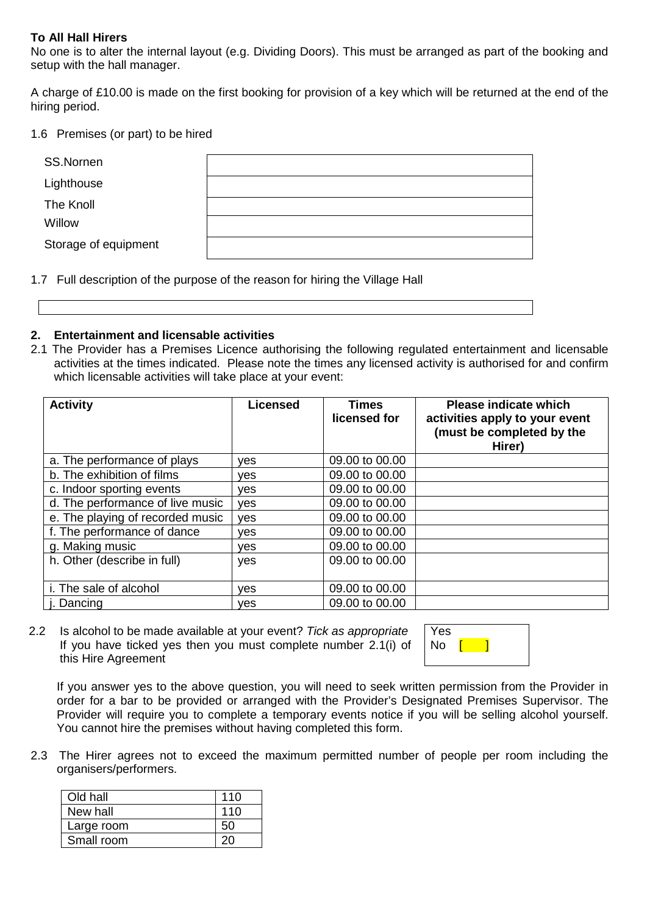# **To All Hall Hirers**

No one is to alter the internal layout (e.g. Dividing Doors). This must be arranged as part of the booking and setup with the hall manager.

A charge of £10.00 is made on the first booking for provision of a key which will be returned at the end of the hiring period.

#### 1.6 Premises (or part) to be hired

| SS.Nornen            |  |
|----------------------|--|
| Lighthouse           |  |
| The Knoll            |  |
| Willow               |  |
| Storage of equipment |  |

1.7 Full description of the purpose of the reason for hiring the Village Hall



2.1 The Provider has a Premises Licence authorising the following regulated entertainment and licensable activities at the times indicated. Please note the times any licensed activity is authorised for and confirm which licensable activities will take place at your event:

| <b>Activity</b>                  | <b>Licensed</b> | Times<br>licensed for | <b>Please indicate which</b><br>activities apply to your event<br>(must be completed by the<br>Hirer) |
|----------------------------------|-----------------|-----------------------|-------------------------------------------------------------------------------------------------------|
| a. The performance of plays      | <b>ves</b>      | 09.00 to 00.00        |                                                                                                       |
| b. The exhibition of films       | <b>ves</b>      | 09.00 to 00.00        |                                                                                                       |
| c. Indoor sporting events        | <b>ves</b>      | 09.00 to 00.00        |                                                                                                       |
| d. The performance of live music | yes             | 09.00 to 00.00        |                                                                                                       |
| e. The playing of recorded music | yes             | 09.00 to 00.00        |                                                                                                       |
| f. The performance of dance      | ves             | 09.00 to 00.00        |                                                                                                       |
| g. Making music                  | ves             | 09.00 to 00.00        |                                                                                                       |
| h. Other (describe in full)      | yes             | 09.00 to 00.00        |                                                                                                       |
| i. The sale of alcohol           | ves             | 09.00 to 00.00        |                                                                                                       |
| Dancing                          | <b>ves</b>      | 09.00 to 00.00        |                                                                                                       |

2.2 Is alcohol to be made available at your event? *Tick as appropriate* If you have ticked yes then you must complete number 2.1(i) of this Hire Agreement

Yes  $\mathsf{No}$   $\mathsf{I}$   $\mathsf{I}$ 

If you answer yes to the above question, you will need to seek written permission from the Provider in order for a bar to be provided or arranged with the Provider's Designated Premises Supervisor. The Provider will require you to complete a temporary events notice if you will be selling alcohol yourself. You cannot hire the premises without having completed this form.

2.3 The Hirer agrees not to exceed the maximum permitted number of people per room including the organisers/performers.

| Old hall   | 110 |
|------------|-----|
| New hall   | 110 |
| Large room | 50  |
| Small room |     |